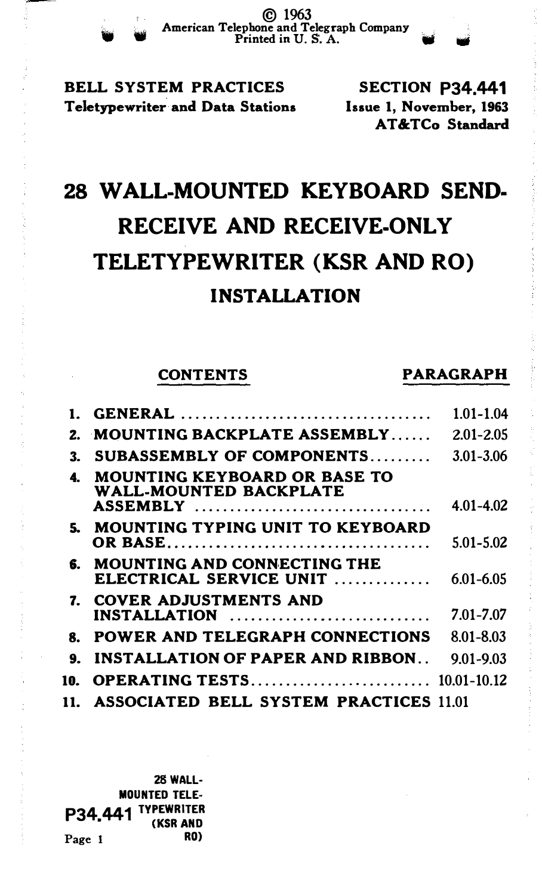BELL SYSTEM PRACTICES Teletypewriter and Data Stations

SECTION P34.441 Issue 1, November, 1963 AT &TCo Standard

# 28 WALL-MOUNTED KEYBOARD SEND-RECEIVE AND RECEIVE-ONLY TELETYPEWRITER (KSR AND RO) INSTALLATION

## CONTENTS PARAGRAPH

|     |                                                                                  | 1.01-1.04     |
|-----|----------------------------------------------------------------------------------|---------------|
|     | 2. MOUNTING BACKPLATE ASSEMBLY                                                   | $2.01 - 2.05$ |
| 3.  | SUBASSEMBLY OF COMPONENTS                                                        | 3.01-3.06     |
| 4.  | <b>MOUNTING KEYBOARD OR BASE TO</b><br>WALL-MOUNTED BACKPLATE<br><b>ASSEMBLY</b> | 4.01-4.02     |
|     | 5. MOUNTING TYPING UNIT TO KEYBOARD                                              | $5.01 - 5.02$ |
| б.  | <b>MOUNTING AND CONNECTING THE</b><br>ELECTRICAL SERVICE UNIT                    | 6.01-6.05     |
|     | 7. COVER ADJUSTMENTS AND<br>INSTALLATION                                         | 7.01-7.07     |
| 8.  | POWER AND TELEGRAPH CONNECTIONS                                                  | 8.01-8.03     |
| 9.  | <b>INSTALLATION OF PAPER AND RIBBON</b>                                          | $9.01 - 9.03$ |
| 10. | <b>OPERATING TESTS 10.01-10.12</b>                                               |               |
|     | 11. ASSOCIATED BELL SYSTEM PRACTICES 11.01                                       |               |

28WALL-MOUNTED TELE· P34,441 TYPEWRITER Page 1 RO)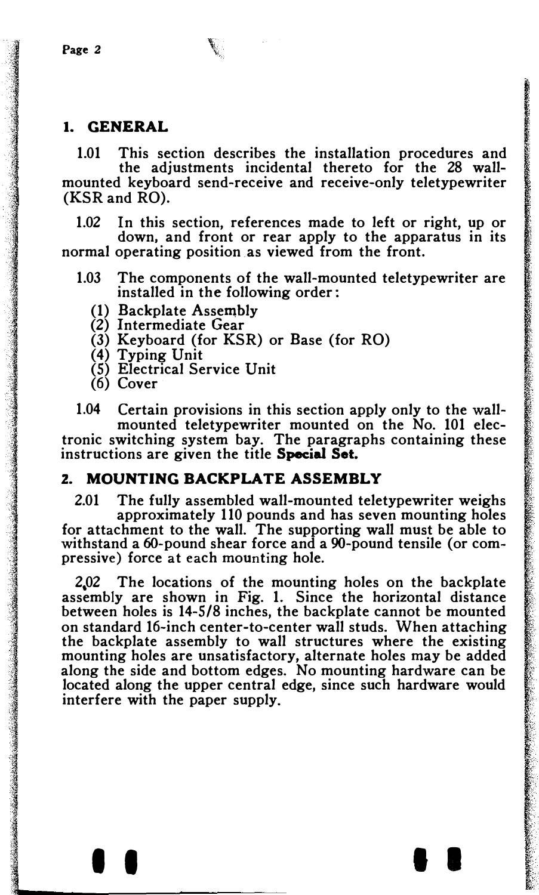#### 1. GENERAL

1.01 This section describes the installation procedures and the adjustments incidental thereto for the 28 wallmounted keyboard send-receive and receive-only teletypewriter (KSR and RO).

1.02 In this section, references made to left or right, up or down, and front or rear apply to the apparatus in its normal operating position as viewed from the front.

- 1.03 The components of the wall-mounted teletypewriter are installed in the following order:
	- (1) Backplate Assembly
	- (2) Intermediate Gear
	- (3) Keyboard (for KSR) or Base (for RO)
	- (4) Typing Unit
	- (5) Electrical Service Unit
	- (6) Cover

1.04 Certain provisions in this section apply only to the wallmounted teletypewriter mounted on the No. 101 electronic switching system bay. The paragraphs containing these instructions are given the title Special Set.

## 2. MOUNTING BACKPLATE ASSEMBLY

2.01 The fully assembled wall-mounted teletypewriter weighs approximately 110 pounds and has seven mounting holes for attachment to the wall. The supporting wall must be able to withstand a 60-pound shear force and a 90-pound tensile (or compressive) force at each mounting hole.

2,02 The locations of the mounting holes on the backplate assembly are shown in Fig. 1. Since the horizontal distance between holes is 14-5/8 inches, the backplate cannot be mounted on standard 16-inch center-to-center wall studs. When attaching the backplate assembly to wall structures where the existing mounting holes are unsatisfactory, alternate holes may be added along the side and bottom edges. No mounting hardware can be located along the upper central edge, since such hardware would interfere with the paper supply.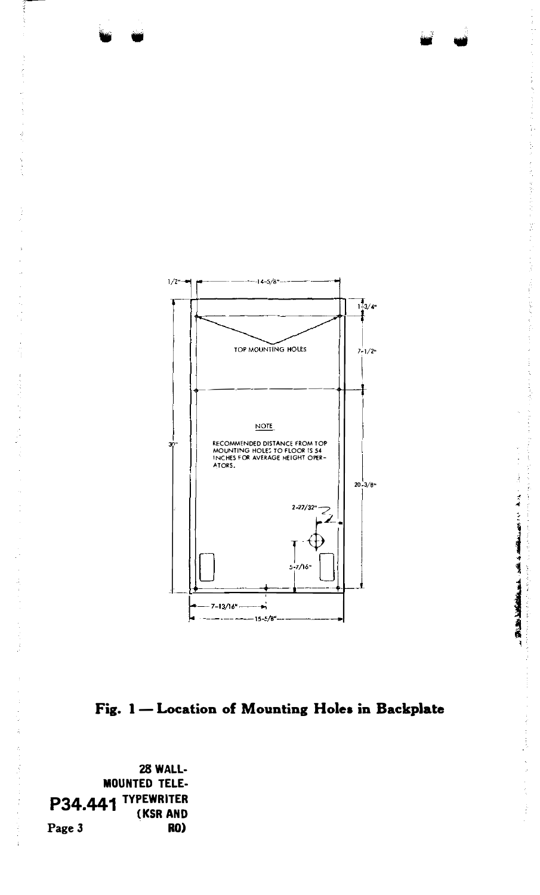

Fig. 1 - Location of Mounting Holes in Backplate

28 WALL-**MOUNTED TELE-**P34.441 TYPEWRITER (KSR AND Page 3 RO)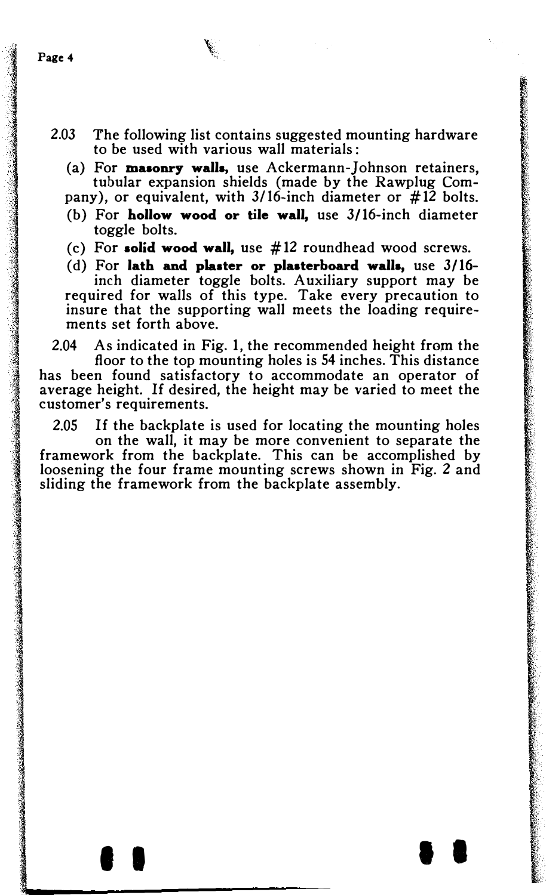- 2.03 The following list contains suggested mounting hardware to be used with various wall materials:
	- (a) For masonry walls, use Ackermann-Johnson retainers, tubular expansion shields (made by the Rawplug Com-
	- pany), or equivalent, with  $3/16$ -inch diameter or  $\#12$  bolts. (b) For hollow wood or tile wall, use 3/16-inch diameter toggle bolts.
	- (c) For solid wood wall, use #12 roundhead wood screws.

(d) For lath and plaster or plaaterboard walla, use 3/16 inch diameter toggle bolts. Auxiliary support may be required for walls of this type. Take every precaution to insure that the supporting wall meets the loading requirements set forth above.

2.04 As indicated in Fig. 1, the recommended height from the floor to the top mounting holes is 54 inches. This distance has been found satisfactory to accommodate an operator of average height. If desired, the height may be varied to meet the customer's requirements.

2.05 If the backplate is used for locating the mounting holes on the wall, it may be more convenient to separate the framework from the backplate. This can be accomplished by loosening the four frame mounting screws shown in Fig. 2 and sliding the framework from the backplate assembly.

I I I I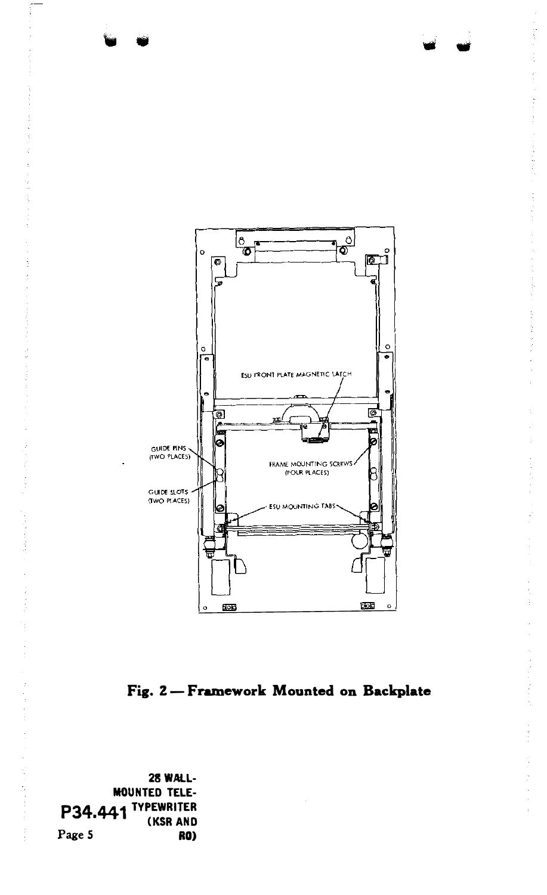

Fig. 2-Framework Mounted on Backplate

28 WALL-MOUNTED TELE-P34.441 TYPEWRITER ' (KSR AND Page 5 RO)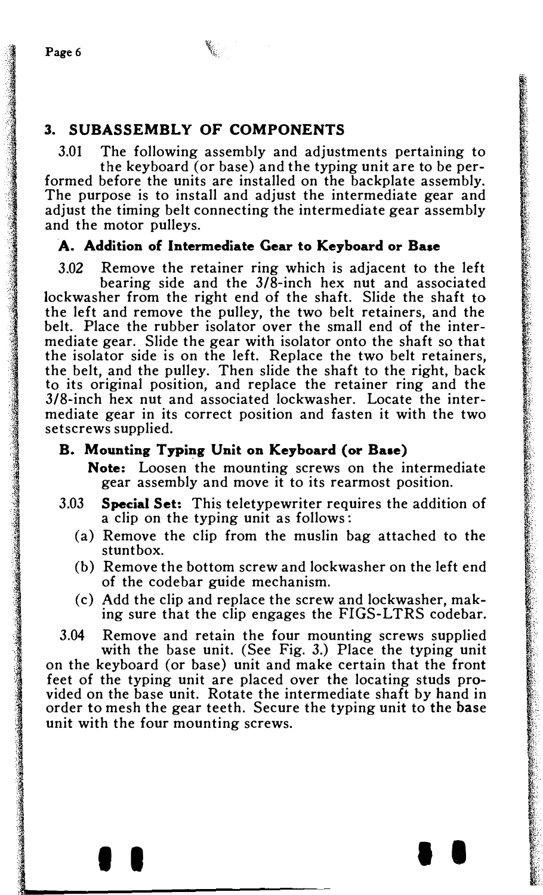## 3. SUBASSEMBLY OF COMPONENTS

3.01 The following assembly and adjustments pertaining to

the keyboard (or base) and the typing unit are to be performed before the units are installed on the backplate assembly. The purpose is to install and adjust the intermediate gear and adjust the timing belt connecting the intermediate gear assembly and the motor pulleys.

## A. Addition of Intermediate Gear to Keyboard or Base

3.02 Remove the retainer ring which is adjacent to the left bearing side and the  $3/\overline{8}$ -inch hex nut and associated lockwasher from the right end of the shaft. Slide the shaft to the left and remove the pulley, the two belt retainers, and the belt. Place the rubber isolator over the small end of the intermediate gear. Slide the gear with isolator onto the shaft so that the isolator side is on the left. Replace the two belt retainers, the belt, and the pulley. Then slide the shaft to the right, back to its original position, and replace the retainer ring and the 3/8-inch hex nut and associated lockwasher. Locate the intermediate gear in its correct position and fasten it with the two setscrews supplied.

#### B. Mounting Typing Unit on Keyboard (or Baae)

Note: Loosen the mounting screws on the intermediate gear assembly and move it to its rearmost position.

- 3.03 Special Set: This teletypewriter requires the addition of a clip on the typing unit as follows :
	- (a) Remove the clip from the muslin bag attached to the stuntbox.
	- (b) Remove the bottom screw and lockwasher on the left end of the codebar guide mechanism.
	- (c) Add the clip and replace the screw and lockwasher, making sure that the clip engages the FIGS-LTRS codebar.

3.04 Remove and retain the four mounting screws supplied with the base unit. (See Fig. 3.) Place the typing unit on the keyboard (or base) unit and make certain that the front feet of the typing unit are placed over the locating studs provided on the base unit. Rotate the intermediate shaft by hand in order to mesh the gear teeth. Secure the typing unit to the base unit with the four mounting screws.

I I I I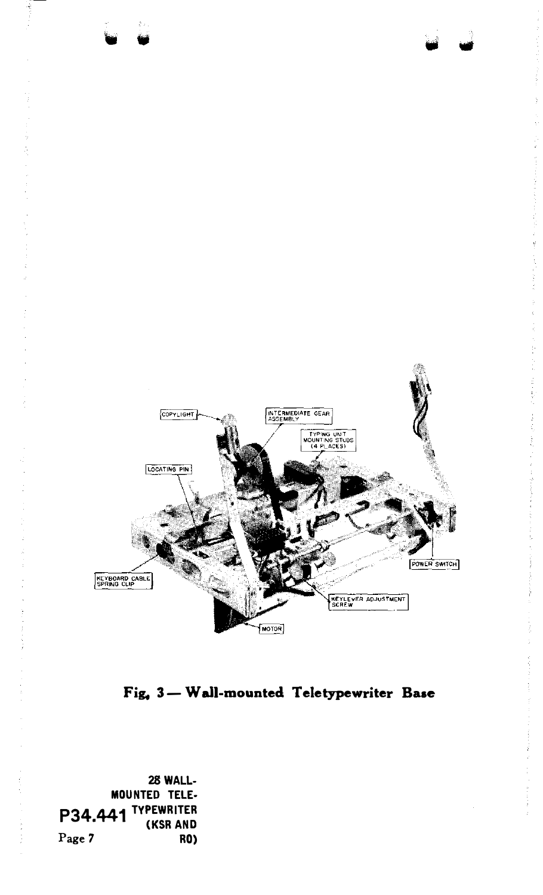

Fig, 3- Wall-mounted Teletypewriter Base

28WALL-MOUNTED TELE-P34.441 TYPEWRITER Page 7 RO)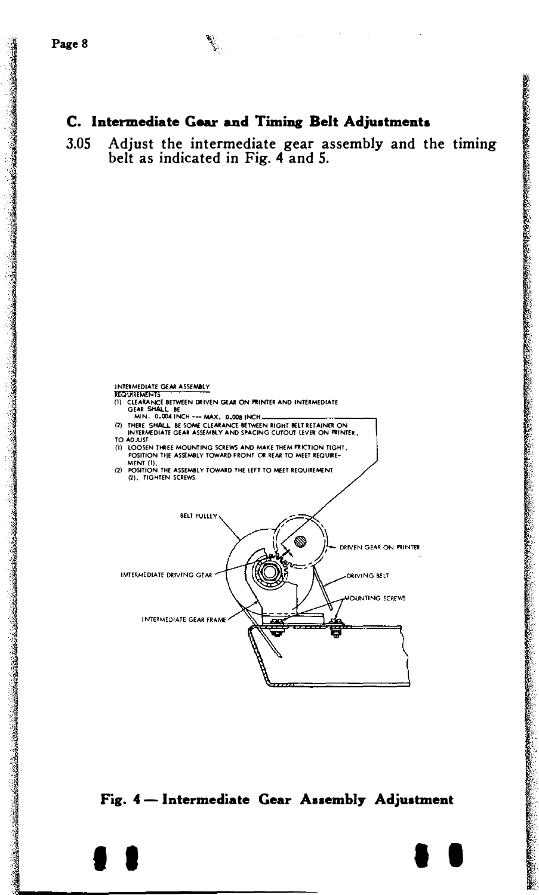collection and

**Brazilian Control of Control Control of Control Control Control** 

## C. Intermediate Gear and Timing Belt Adjustments

 $3.05$ Adjust the intermediate gear assembly and the timing belt as indicated in Fig. 4 and 5.



Fig. 4 - Intermediate Gear Assembly Adjustment

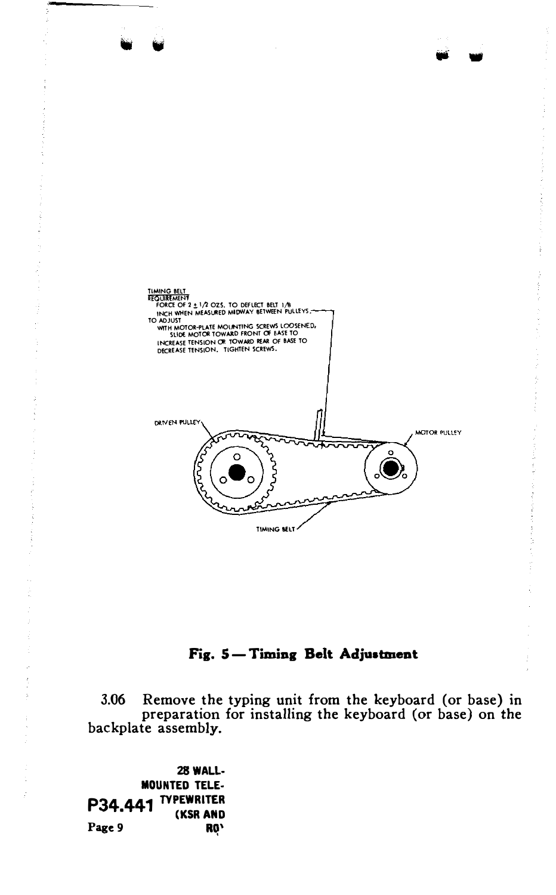

## Fig. 5-Timing Belt Adjustment

3.06 Remove the typing unit from the keyboard (or base) in preparation for installing the keyboard (or base) on the backplate assembly.

28 WALL-**MOUNTED TELE-**P34.441 TYPEWRITER (KSR AND Page 9 **RQ'**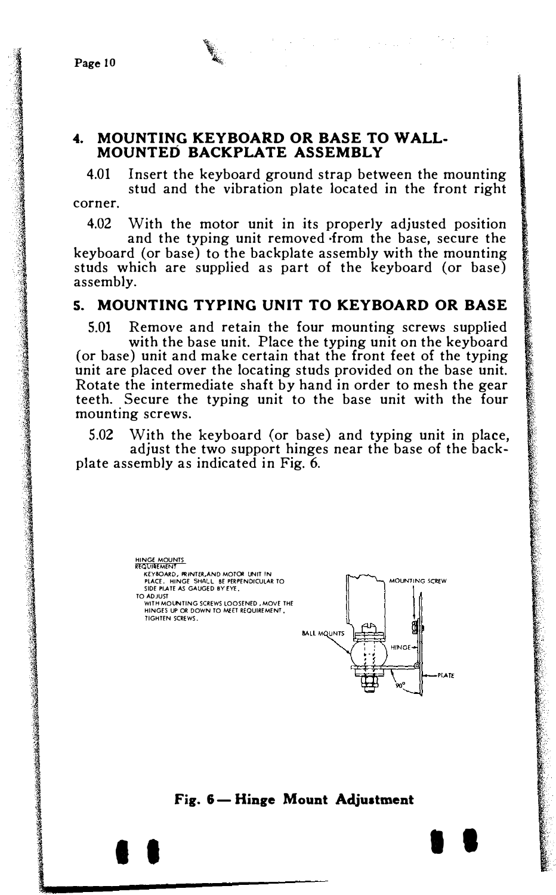's contained in the contract of the contract of the contract of the contract of the contract of the contract of

1921 - 1930 - 1930 - 1930 - 1930 - 1930 - 1930 - 1930 - 1930 - 1930 - 1930 - 1930 - 1930 - 1930 - 1930 - 1930<br>1930 - 1930 - 1930 - 1930 - 1930 - 1930 - 1930 - 1930 - 1930 - 1930 - 1930 - 1930 - 1930 - 1930 - 1930 - 1930<br>19

\

#### 4. MOUNTING KEYBOARD OR BASE TO WALL-MOUNTED BACKPLATE ASSEMBLY

4.01 Insert the keyboard ground strap between the mounting stud and the vibration plate located in the front right corner.

4.02 With the motor unit in its properly adjusted position

and the typing unit removed ·from the base, secure the keyboard (or base) to the backplate assembly with the mounting studs which are supplied as part of the keyboard (or base) assembly.

## S. MOUNTING TYPING UNIT TO KEYBOARD OR BASE

5.01 Remove and retain the four mounting screws supplied with the base unit. Place the typing unit on the keyboard (or base) unit and make certain that the front feet of the typing unit are placed over the locating studs provided on the base unit. Rotate the intermediate shaft by hand in order to mesh the gear teeth. Secure the typing unit to the base unit with the four mounting screws.

5.02 With the keyboard (or base) and typing unit in place, adjust the two support hinges near the base of the backplate assembly as indicated in Fig. 6.



#### Fig. 6- Hinge Mount Adjustment

I I I I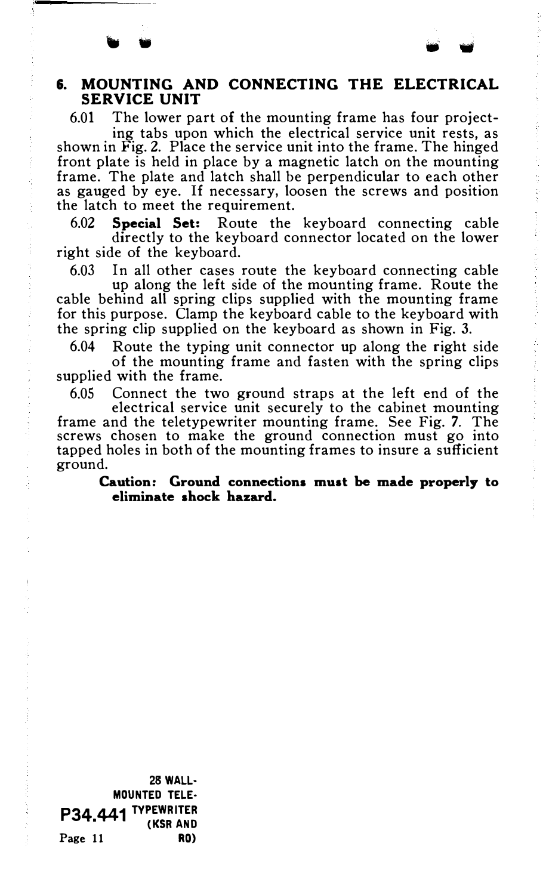### 6. MOUNTING AND CONNECTING THE ELECTRICAL SERVICE UNIT

6.01 The lower part of the mounting frame has four projecting tabs upon which the electrical service unit rests, as shown in Fig. 2. Place the service unit into the frame. The hinged front plate is held in place by a magnetic latch on the mounting frame. The plate and latch shall be perpendicular to each other as gauged by eye. If necessary, loosen the screws and position

the latch to meet the requirement. 6.02 Special Set: Route the keyboard connecting cable directly to the keyboard connector located on the lower right side of the keyboard.

6.03 In all other cases route the keyboard connecting cable

up along the left side of the mounting frame. Route the cable behind all spring clips supplied with the mounting frame for this purpose. Clamp the keyboard cable to the keyboard with the spring clip supplied on the keyboard as shown in Fig. 3.

6.04 Route the typing unit connector up along the right side

of the mounting frame and fasten with the spring clips supplied with the frame.

6.05 Connect the two ground straps at the left end of the

electrical service unit securely to the cabinet mounting frame and the teletypewriter mounting frame. See Fig. 7. The screws chosen to make the ground connection must go into tapped holes in both of the mounting frames to insure a sufficient ground.

Caution: Ground connections muat be made properly to eliminate shock hazard.

28 WALL· MOUNTED TELE· P34.441 <sup>Typewriter</sup> (ksr and Page 11 RO)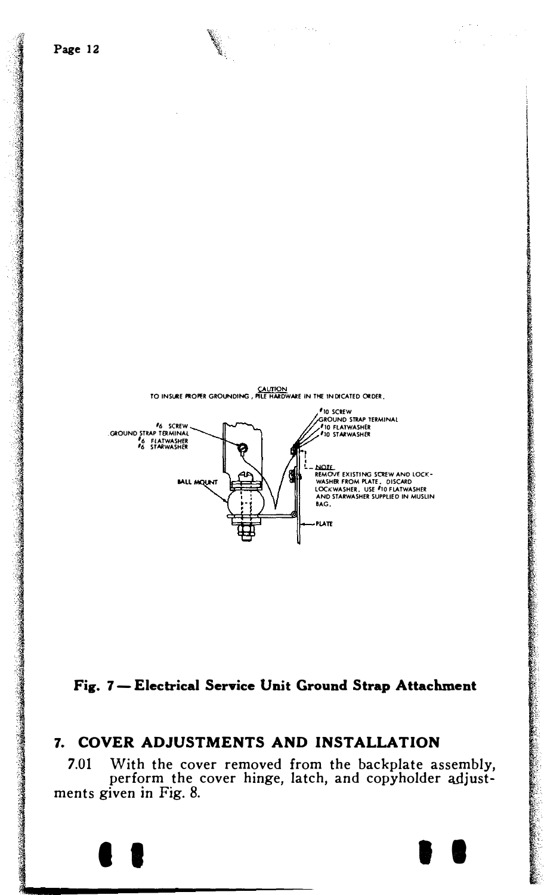



## 7. COVER ADJUSTMENTS AND INSTALLATION

With the cover removed from the backplate assembly,  $7.01$ perform the cover hinge, latch, and copyholder adjustments given in Fig. 8.

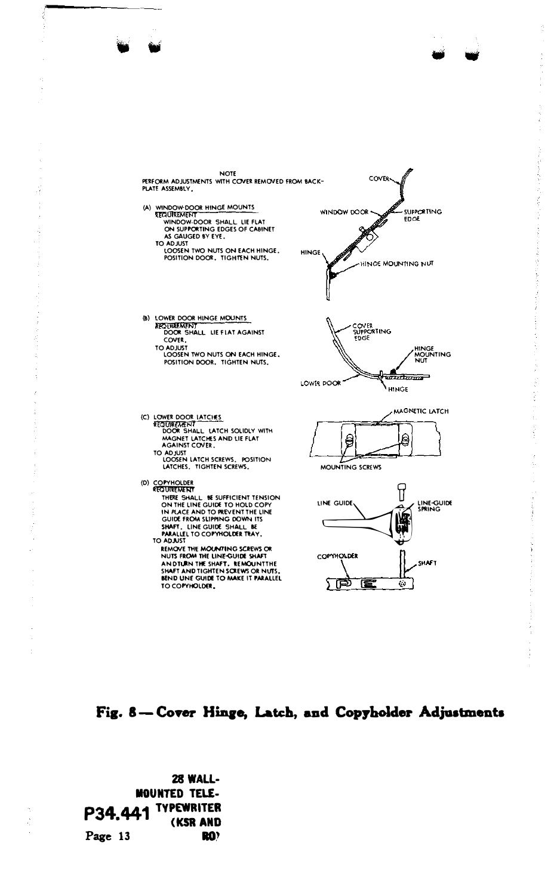

## Fig. 8-Cover Hinge, Latch, and Copyholder Adjustments

28 WALL-**MOUNTED TELE-**P34.441 TYPEWRITER (KSR AND Page 13 RO?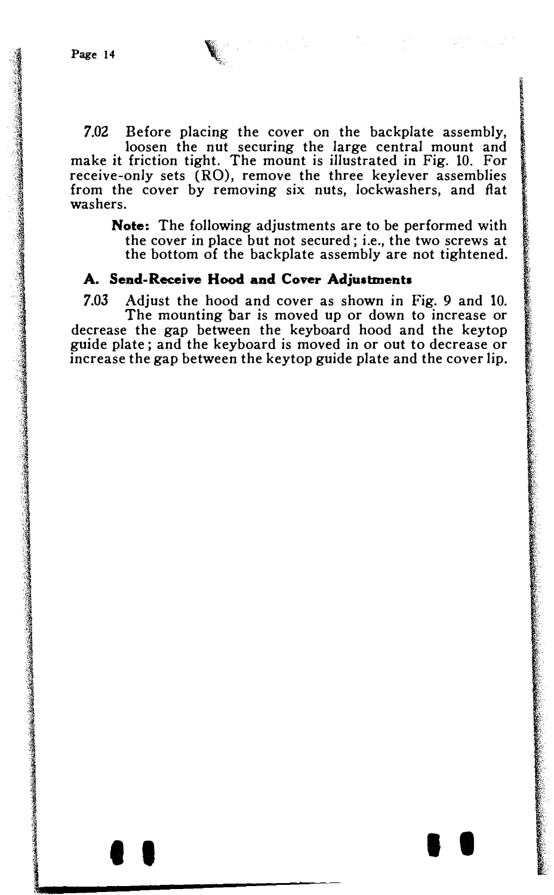7.02 Before placing the cover on the backplate assembly, loosen the nut securing the large central mount and make it friction tight. The mount is illustrated in Fig. 10. For receive-only sets (RO), remove the three keylever assemblies from the cover by removing six nuts, lockwashers, and fiat washers.

Note: The following adjustments are to be performed with the cover in place but not secured; i.e., the two screws at the bottom of the backplate assembly are not tightened.

#### A. Send-Receive Hood and Cover Adjustments

7.03 Adjust the hood and cover as shown in Fig. 9 and 10. The mounting bar is moved up or down to increase or decrease the gap between the keyboard hood and the keytop guide plate ; and the keyboard is moved in or out to decrease or increase the gap between the keytop guide plate and the cover lip.

I I I I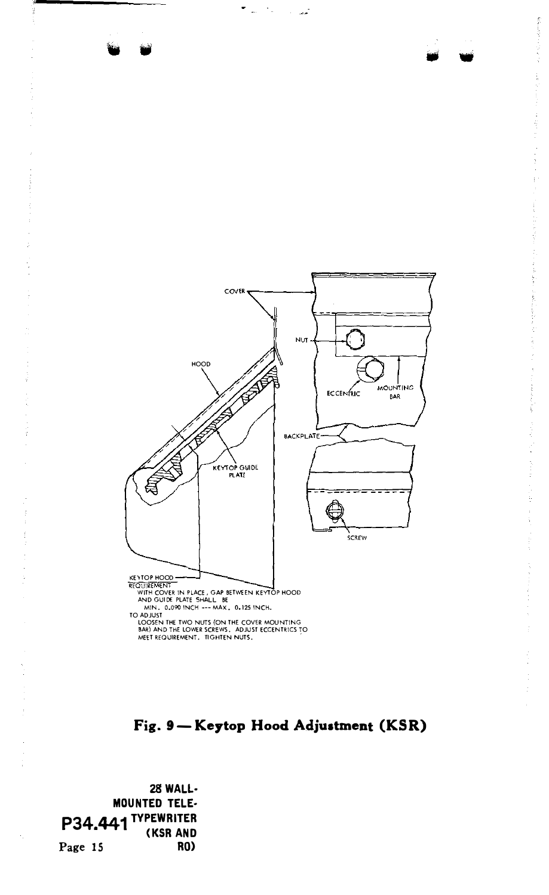

Fig. 9-Keytop Hood Adjustment (KSR)

28 WALL· MOUNTED TELE· P34.441 TYPEWRITER " (KSR AND Page 15 RO)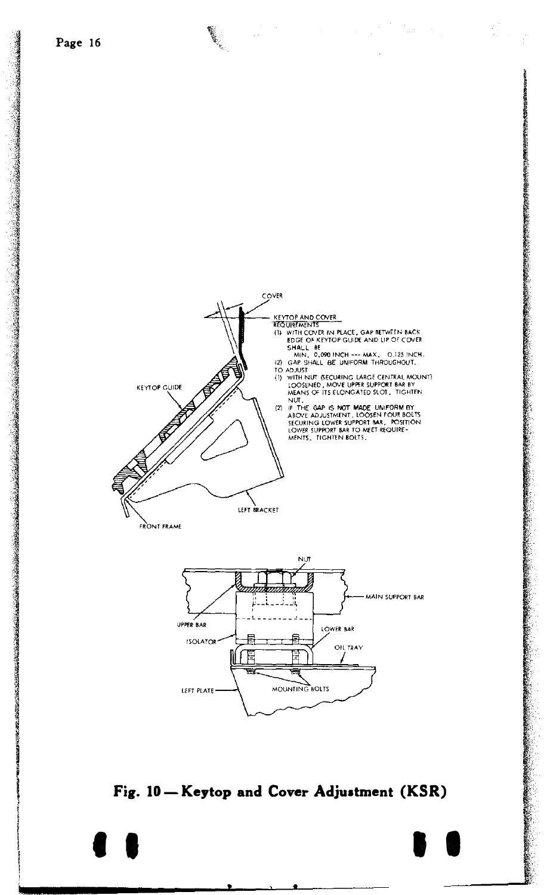医皮肤病 医皮质性皮质 医心脏病 医心脏病 医血管 医血管下腺 医腹膜炎

1

**INCORN AND ANGELES** 

i<br>Compositor and a model of the

i<br>Secolul in Comune comunication and a material



Fig. 10-Keytop and Cover Adjustment (KSR)

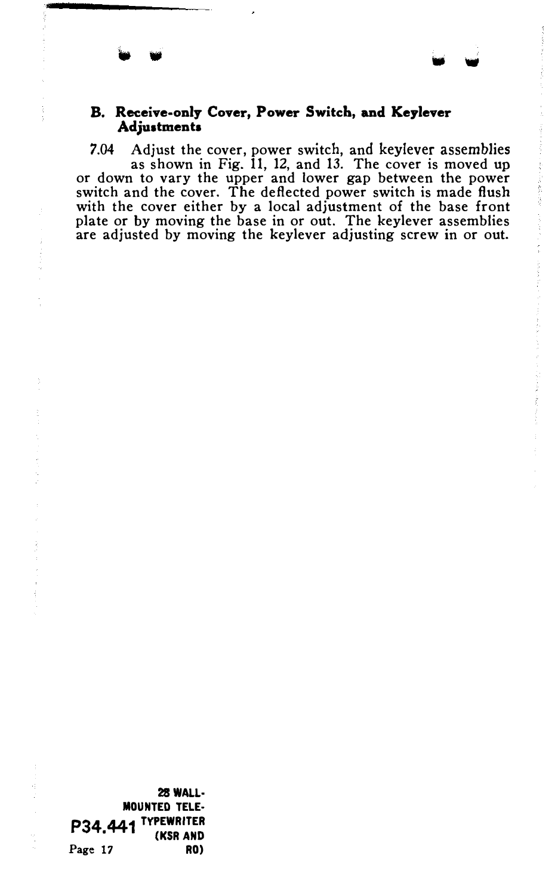#### B. Receive-only Cover, Power Switch, and Keylever Adjustments

7.04 Adjust the cover, power switch, and keylever assemblies as shown in Fig. 11, 12, and 13. The cover is moved up or down to vary the upper and lower gap between the power switch and the cover. The deflected power switch is made flush with the cover either by a local adjustment of the base front plate or by moving the base in or out. The keylever assemblies are adjusted by moving the keylever adjusting screw in or out.

28WALL· MOUNTED TELE· P34,441 TYPEWRITER Page 17 RO)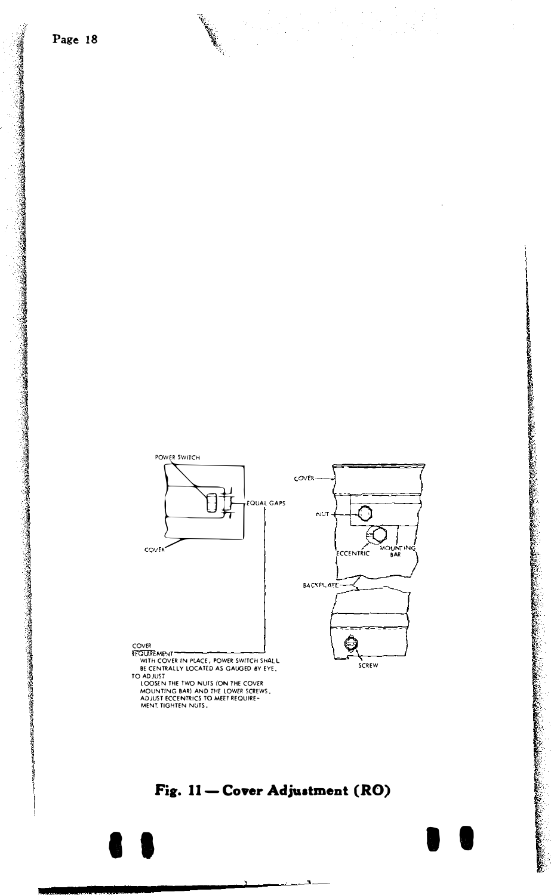

## Fig. 11-Cover Adjustment (RO)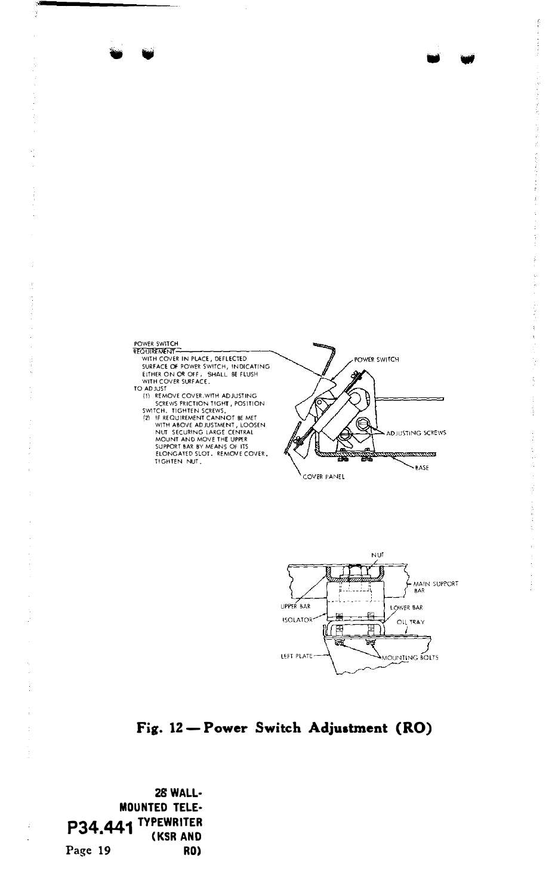## POWER SWITCH

�--------------- WITH COVER IN PLACE, DEFLECTED SURFACE OF POWER SWITCH, INDICATING EITHER ON Oft OFF, SHALL BE FLUSH WITH COVER SURFACE.

- 
- TO AD SIST<br>
SERVICE COVER, WITH AD JUSTING<br>
SWITCH, TOHTEN SCRIVS,<br>
SWITCH, TIGHTEN SCRIVS,<br>
2011 CH. TIGHTEN SCRIVS,<br>
2011 HE REQUIREMENT CANNOT BE WITH ABOVE AD JUSTINENT, LOOSEN<br>
NUT SECURING LARGE CENTRAL<br>
SUPONT BAR B TIGHTEN NUT.



•



1999 - 1999 - 1999 - 1999

## Fig. 12- Power Switch Adjustment (RO)

2SWALL· MOUNTED TELE· P34,441 <sup>Typewriter</sup> Page 19 RO)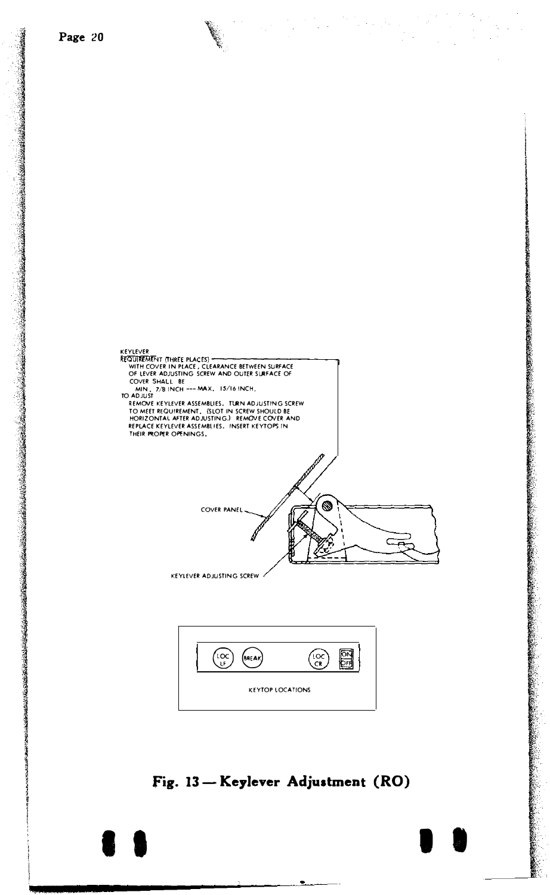



## fig. 13- Keylever Adjustment (RO)

**E 9**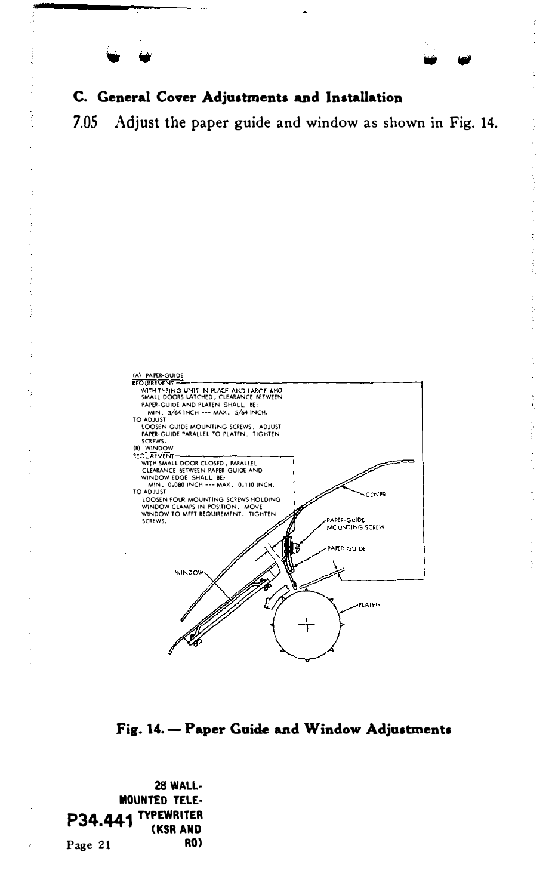j

## C. General Cover Adjustments and lnstallatiop

7.05 Adjust the paper guide and window as shown in Fig. 14.



Fig. 14. - Paper Guide and Window Adjustments

28 WALL· MOUNTED TELE· P34.441 TYPEWRITER<br>KSR AND Page 21 RO)

j

•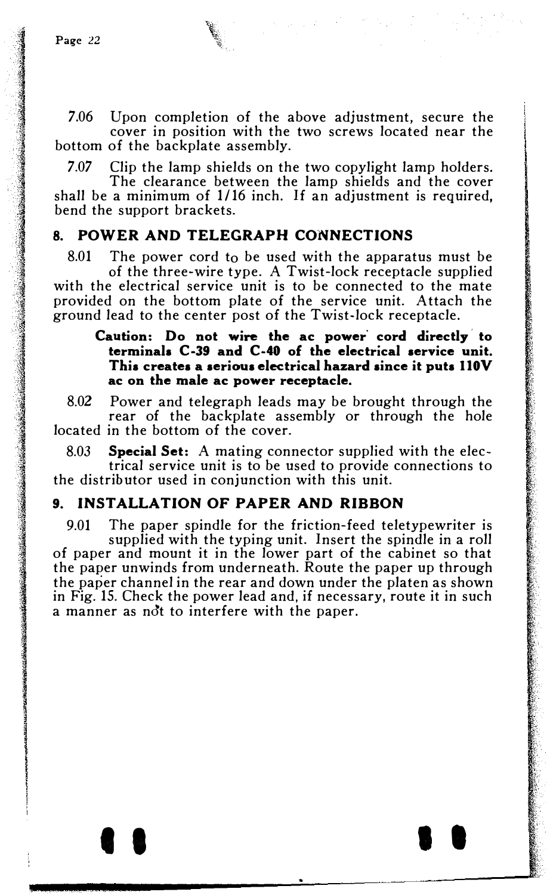7.06 Upon completion of the above adjustment, secure the cover in position with the two screws located near the bottom of the backplate assembly.

7.07 Clip the lamp shields on the two copylight lamp holders.

The clearance between the lamp shields and the cover shall be a minimum of 1/16 inch. If an adjustment is required, bend the support brackets.

## 8. POWER AND TELEGRAPH CONNECTIONS

8.01 The power cord to be used with the apparatus must be of the three-wire type. A Twist-lock receptacle supplied with the electrical service unit is to be connected to the mate provided on the bottom plate of the service unit. Attach the ground lead to the center post of the Twist-lock receptacle.

#### Caution: Do not wire the ac power cord directly to terminals C-39 and C-40 of the electrical service unit. This creates a serious electrical hazard since it puts IlOV ac on the male ac power receptacle.

8.02 Power and telegraph leads may be brought through the rear of the backplate assembly or through the hole located in the bottom of the cover.

8.03 Special Set: A mating connector supplied with the electrical service unit is to be used to provide connections to the distributor used in conjunction with this unit.

## 9. INSTALLATION OF PAPER AND RIBBON

9.01 The paper spindle for the friction-feed teletypewriter is supplied with the typing unit. Insert the spindle in a roll of paper and mount it in the lower part of the cabinet so that the paper unwinds from underneath. Route the paper up through the paper channel in the rear and down under the platen as shown in Fig. 15. Check the power lead and, if necessary, route it in such a manner as ndt to interfere with the paper.

' ' I I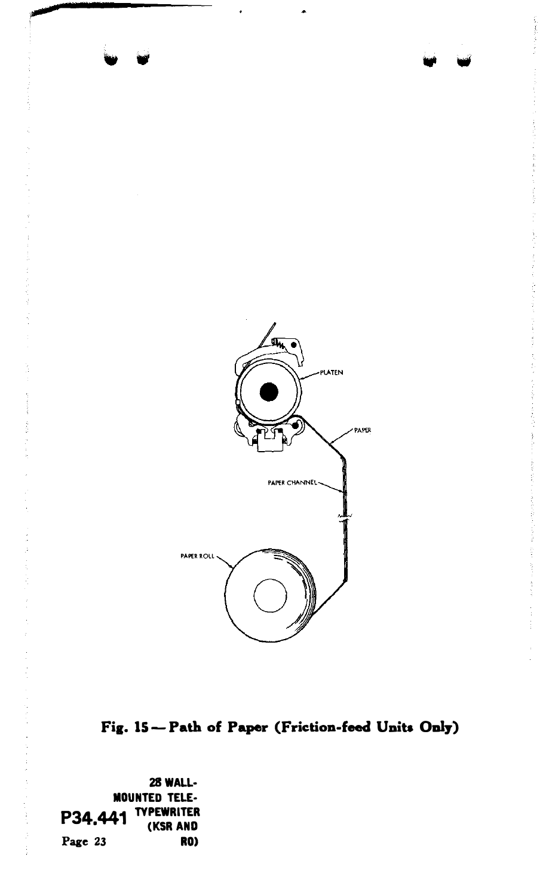

Fig. 15-Path of Paper (Friction-feed Units Only)

28 WALL-**MOUNTED TELE-**P34.441 TYPEWRITER (KSR AND Page 23 RO)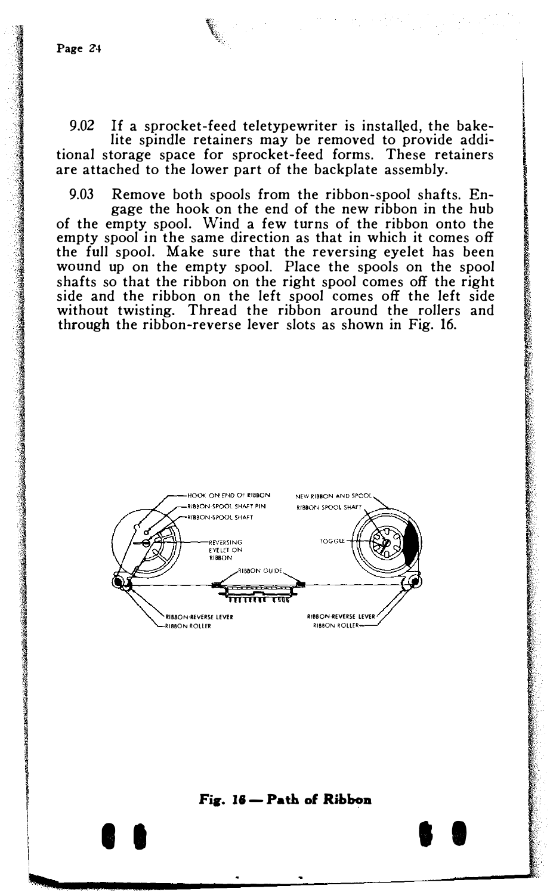9.02 If a sprocket-feed teletypewriter is installed, the bakelite spindle retainers may be removed to provide additional storage space for sprocket-feed forms. These retainers are attached to the lower part of the backplate assembly.

9.03 Remove both spools from the ribbon-spool shafts. Engage the hook on the end of the new ribbon in the hub of the empty spool. Wind a few turns of the ribbon onto the empty spool in the same direction as that in which it comes off the full spool. Make sure that the reversing eyelet has been wound up on the empty spool. Place the spools on the spool shafts so that the ribbon on the right spool comes off the right side and the ribbon on the left spool comes off the left side without twisting. Thread the ribbon around the rollers and through the ribbon-reverse lever slots as shown in Fig. 16.



#### Fig. 16 - Path of Ribbon

I I

I I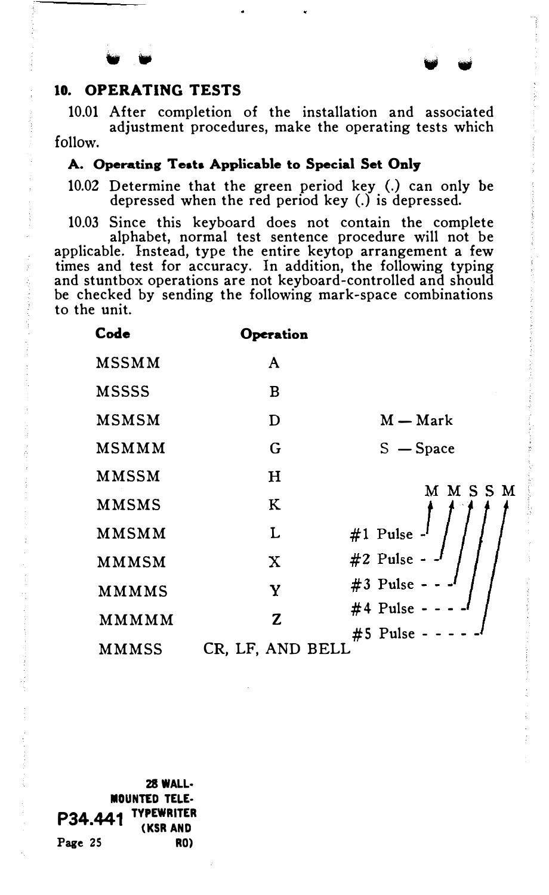## 10. OPERATING TESTS

10.01 After completion of the installation and associated adjustment procedures, make the operating tests which follow.

 $\mathbf{v}$  .

## A. Operating Tests Applicable to Special Set Only

10.02 Determine that the green period key (.) can only be depressed when the red period key (.) is depressed.

10.03 Since this keyboard does not contain the complete alphabet, normal test sentence procedure will not be applicable. Instead, type the entire keytop arrangement a few times and test for accuracy. In addition, the following typing and stuntbox operations are not keyboard-controlled and should be checked by sending the following mark-space combinations to the unit.

| Code         | <b>Operation</b> |                |
|--------------|------------------|----------------|
| <b>MSSMM</b> | A                |                |
| <b>MSSSS</b> | в                |                |
| <b>MSMSM</b> | D                | $M - Mark$     |
| MSMMM        | G                | $S - Space$    |
| MMSSM        | н                | M M S S M      |
| <b>MMSMS</b> | ĸ                |                |
| MMSMM        | L                | #1 Pulse -     |
| MMMSM        | $\mathbf x$      | #2 Pulse -     |
| <b>MMMMS</b> | Y                | #3 Pulse - - - |
| MMMMM        | Z                | #4 Pulse -     |
| <b>MMMSS</b> | CR, LF, AND BELL | #5 Pulse - -   |

28WALL· MOUNTED TELE· P34.441 TYPEWRITER (KSR AND Page 25 RO)